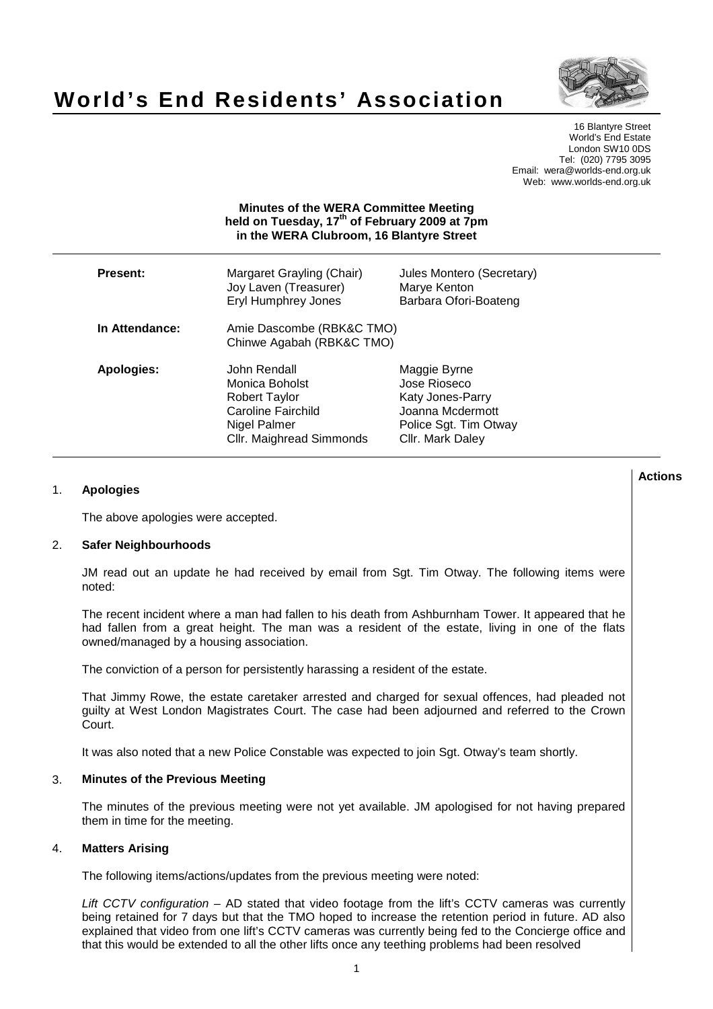

# **World's End Residents' Association**

16 Blantyre Street World's End Estate London SW10 0DS Tel: (020) 7795 3095 Email: wera@worlds-end.org.uk Web: www.worlds-end.org.uk

|                   | <b>Minutes of the WERA Committee Meeting</b><br>held on Tuesday, 17 <sup>th</sup> of February 2009 at 7pm<br>in the WERA Clubroom, 16 Blantyre Street |                                                                                                                   |  |
|-------------------|-------------------------------------------------------------------------------------------------------------------------------------------------------|-------------------------------------------------------------------------------------------------------------------|--|
| <b>Present:</b>   | Margaret Grayling (Chair)<br>Joy Laven (Treasurer)<br><b>Eryl Humphrey Jones</b>                                                                      | Jules Montero (Secretary)<br>Marye Kenton<br>Barbara Ofori-Boateng                                                |  |
| In Attendance:    | Amie Dascombe (RBK&C TMO)<br>Chinwe Agabah (RBK&C TMO)                                                                                                |                                                                                                                   |  |
| <b>Apologies:</b> | John Rendall<br>Monica Boholst<br><b>Robert Taylor</b><br>Caroline Fairchild<br>Nigel Palmer<br>Cllr. Maighread Simmonds                              | Maggie Byrne<br>Jose Rioseco<br>Katy Jones-Parry<br>Joanna Mcdermott<br>Police Sgt. Tim Otway<br>Cllr. Mark Daley |  |

# 1. **Apologies**

The above apologies were accepted.

## 2. **Safer Neighbourhoods**

JM read out an update he had received by email from Sgt. Tim Otway. The following items were noted:

The recent incident where a man had fallen to his death from Ashburnham Tower. It appeared that he had fallen from a great height. The man was a resident of the estate, living in one of the flats owned/managed by a housing association.

The conviction of a person for persistently harassing a resident of the estate.

That Jimmy Rowe, the estate caretaker arrested and charged for sexual offences, had pleaded not guilty at West London Magistrates Court. The case had been adjourned and referred to the Crown Court.

It was also noted that a new Police Constable was expected to join Sgt. Otway's team shortly.

## 3. **Minutes of the Previous Meeting**

The minutes of the previous meeting were not yet available. JM apologised for not having prepared them in time for the meeting.

# 4. **Matters Arising**

The following items/actions/updates from the previous meeting were noted:

Lift CCTV configuration – AD stated that video footage from the lift's CCTV cameras was currently being retained for 7 days but that the TMO hoped to increase the retention period in future. AD also explained that video from one lift's CCTV cameras was currently being fed to the Concierge office and that this would be extended to all the other lifts once any teething problems had been resolved

**Lactions のことには、このことにより、このことにより、このことになります。 そのことには、このことにより、このことにより、このことになります。 そのことには、このことにより、このことには、このことにより、このことにより、このことにより、このことにより、このことにより、このことにより、このことにより、このことにより、このことにより、このことにより、このことにより、このことにより、このことにより、このことによっていることになっ**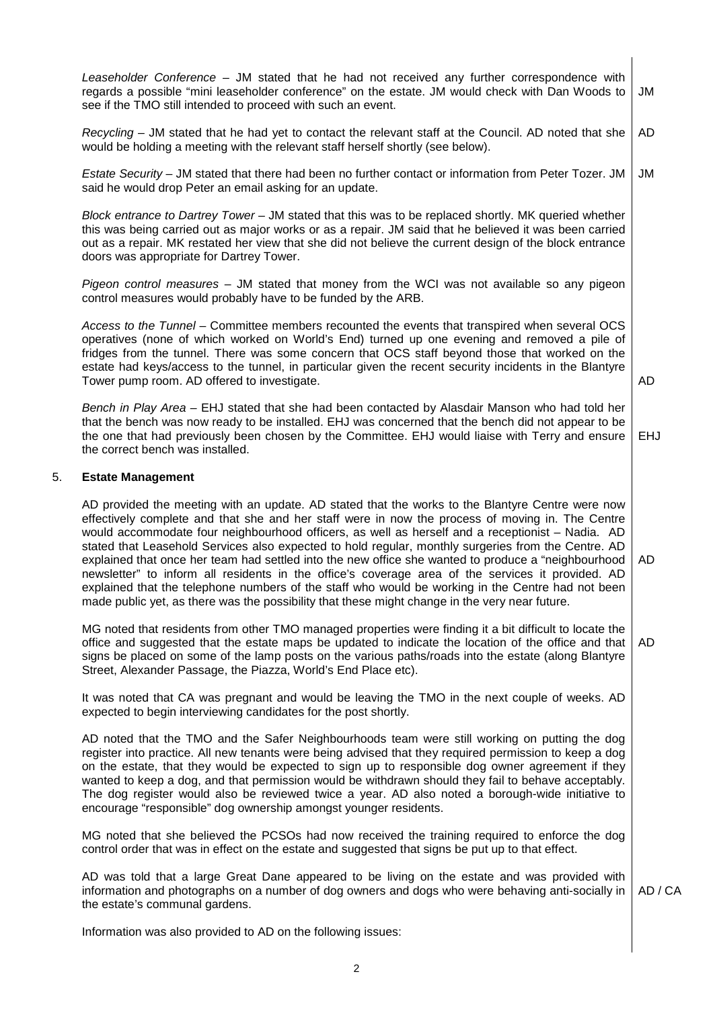|    | Leaseholder Conference – JM stated that he had not received any further correspondence with<br>regards a possible "mini leaseholder conference" on the estate. JM would check with Dan Woods to<br>see if the TMO still intended to proceed with such an event.                                                                                                                                                                                                                                                                                                                                                                                                                                                                                                                                                                    | JM         |
|----|------------------------------------------------------------------------------------------------------------------------------------------------------------------------------------------------------------------------------------------------------------------------------------------------------------------------------------------------------------------------------------------------------------------------------------------------------------------------------------------------------------------------------------------------------------------------------------------------------------------------------------------------------------------------------------------------------------------------------------------------------------------------------------------------------------------------------------|------------|
|    | Recycling – JM stated that he had yet to contact the relevant staff at the Council. AD noted that she<br>would be holding a meeting with the relevant staff herself shortly (see below).                                                                                                                                                                                                                                                                                                                                                                                                                                                                                                                                                                                                                                           | AD         |
|    | Estate Security - JM stated that there had been no further contact or information from Peter Tozer. JM<br>said he would drop Peter an email asking for an update.                                                                                                                                                                                                                                                                                                                                                                                                                                                                                                                                                                                                                                                                  | JM         |
|    | Block entrance to Dartrey Tower - JM stated that this was to be replaced shortly. MK queried whether<br>this was being carried out as major works or as a repair. JM said that he believed it was been carried<br>out as a repair. MK restated her view that she did not believe the current design of the block entrance<br>doors was appropriate for Dartrey Tower.                                                                                                                                                                                                                                                                                                                                                                                                                                                              |            |
|    | Pigeon control measures - JM stated that money from the WCI was not available so any pigeon<br>control measures would probably have to be funded by the ARB.                                                                                                                                                                                                                                                                                                                                                                                                                                                                                                                                                                                                                                                                       |            |
|    | Access to the Tunnel - Committee members recounted the events that transpired when several OCS<br>operatives (none of which worked on World's End) turned up one evening and removed a pile of<br>fridges from the tunnel. There was some concern that OCS staff beyond those that worked on the<br>estate had keys/access to the tunnel, in particular given the recent security incidents in the Blantyre<br>Tower pump room. AD offered to investigate.                                                                                                                                                                                                                                                                                                                                                                         | AD         |
|    | Bench in Play Area - EHJ stated that she had been contacted by Alasdair Manson who had told her<br>that the bench was now ready to be installed. EHJ was concerned that the bench did not appear to be<br>the one that had previously been chosen by the Committee. EHJ would liaise with Terry and ensure<br>the correct bench was installed.                                                                                                                                                                                                                                                                                                                                                                                                                                                                                     | <b>EHJ</b> |
| 5. | <b>Estate Management</b>                                                                                                                                                                                                                                                                                                                                                                                                                                                                                                                                                                                                                                                                                                                                                                                                           |            |
|    | AD provided the meeting with an update. AD stated that the works to the Blantyre Centre were now<br>effectively complete and that she and her staff were in now the process of moving in. The Centre<br>would accommodate four neighbourhood officers, as well as herself and a receptionist - Nadia. AD<br>stated that Leasehold Services also expected to hold regular, monthly surgeries from the Centre. AD<br>explained that once her team had settled into the new office she wanted to produce a "neighbourhood<br>newsletter" to inform all residents in the office's coverage area of the services it provided. AD<br>explained that the telephone numbers of the staff who would be working in the Centre had not been<br>made public yet, as there was the possibility that these might change in the very near future. | AD         |
|    | MG noted that residents from other TMO managed properties were finding it a bit difficult to locate the<br>office and suggested that the estate maps be updated to indicate the location of the office and that<br>signs be placed on some of the lamp posts on the various paths/roads into the estate (along Blantyre<br>Street, Alexander Passage, the Piazza, World's End Place etc).                                                                                                                                                                                                                                                                                                                                                                                                                                          | AD         |
|    | It was noted that CA was pregnant and would be leaving the TMO in the next couple of weeks. AD<br>expected to begin interviewing candidates for the post shortly.                                                                                                                                                                                                                                                                                                                                                                                                                                                                                                                                                                                                                                                                  |            |
|    | AD noted that the TMO and the Safer Neighbourhoods team were still working on putting the dog<br>register into practice. All new tenants were being advised that they required permission to keep a dog<br>on the estate, that they would be expected to sign up to responsible dog owner agreement if they<br>wanted to keep a dog, and that permission would be withdrawn should they fail to behave acceptably.<br>The dog register would also be reviewed twice a year. AD also noted a borough-wide initiative to<br>encourage "responsible" dog ownership amongst younger residents.                                                                                                                                                                                                                                         |            |
|    | MG noted that she believed the PCSOs had now received the training required to enforce the dog<br>control order that was in effect on the estate and suggested that signs be put up to that effect.                                                                                                                                                                                                                                                                                                                                                                                                                                                                                                                                                                                                                                |            |
|    | AD was told that a large Great Dane appeared to be living on the estate and was provided with<br>information and photographs on a number of dog owners and dogs who were behaving anti-socially in<br>the estate's communal gardens.                                                                                                                                                                                                                                                                                                                                                                                                                                                                                                                                                                                               | AD / CA    |
|    |                                                                                                                                                                                                                                                                                                                                                                                                                                                                                                                                                                                                                                                                                                                                                                                                                                    |            |

Information was also provided to AD on the following issues: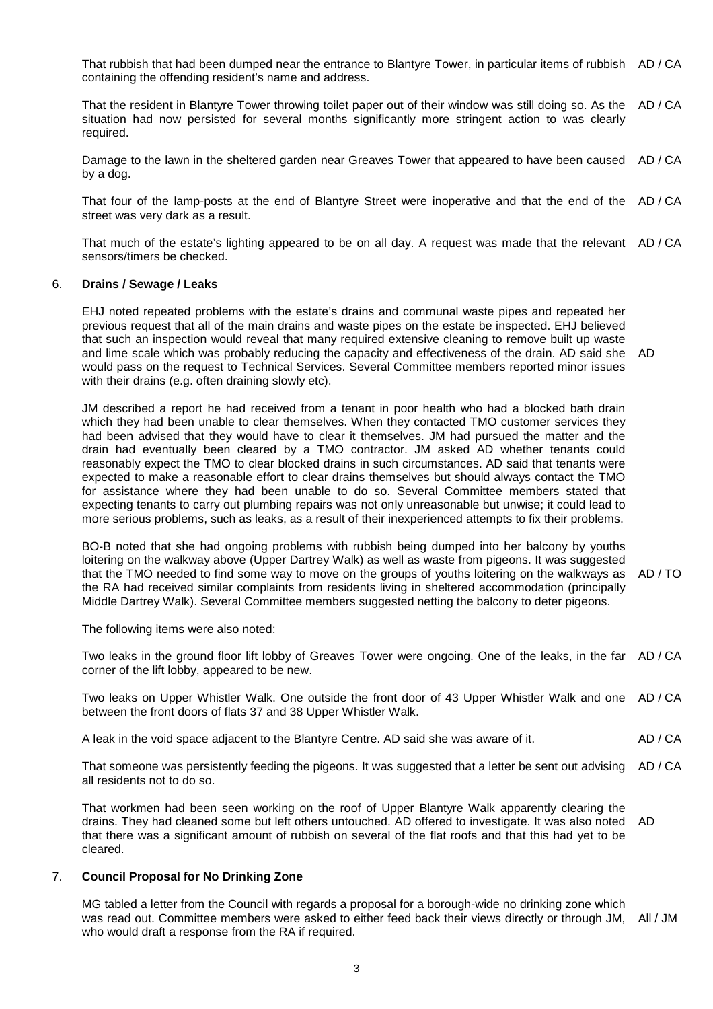|    | That rubbish that had been dumped near the entrance to Blantyre Tower, in particular items of rubbish<br>containing the offending resident's name and address.                                                                                                                                                                                                                                                                                                                                                                                                                                                                                                                                                                                                                                                                                                                                                                 | AD / CA  |
|----|--------------------------------------------------------------------------------------------------------------------------------------------------------------------------------------------------------------------------------------------------------------------------------------------------------------------------------------------------------------------------------------------------------------------------------------------------------------------------------------------------------------------------------------------------------------------------------------------------------------------------------------------------------------------------------------------------------------------------------------------------------------------------------------------------------------------------------------------------------------------------------------------------------------------------------|----------|
|    | That the resident in Blantyre Tower throwing toilet paper out of their window was still doing so. As the<br>situation had now persisted for several months significantly more stringent action to was clearly<br>required.                                                                                                                                                                                                                                                                                                                                                                                                                                                                                                                                                                                                                                                                                                     | AD / CA  |
|    | Damage to the lawn in the sheltered garden near Greaves Tower that appeared to have been caused<br>by a dog.                                                                                                                                                                                                                                                                                                                                                                                                                                                                                                                                                                                                                                                                                                                                                                                                                   | AD / CA  |
|    | That four of the lamp-posts at the end of Blantyre Street were inoperative and that the end of the<br>street was very dark as a result.                                                                                                                                                                                                                                                                                                                                                                                                                                                                                                                                                                                                                                                                                                                                                                                        | AD / CA  |
|    | That much of the estate's lighting appeared to be on all day. A request was made that the relevant<br>sensors/timers be checked.                                                                                                                                                                                                                                                                                                                                                                                                                                                                                                                                                                                                                                                                                                                                                                                               | AD / CA  |
| 6. | Drains / Sewage / Leaks                                                                                                                                                                                                                                                                                                                                                                                                                                                                                                                                                                                                                                                                                                                                                                                                                                                                                                        |          |
|    | EHJ noted repeated problems with the estate's drains and communal waste pipes and repeated her<br>previous request that all of the main drains and waste pipes on the estate be inspected. EHJ believed<br>that such an inspection would reveal that many required extensive cleaning to remove built up waste<br>and lime scale which was probably reducing the capacity and effectiveness of the drain. AD said she<br>would pass on the request to Technical Services. Several Committee members reported minor issues<br>with their drains (e.g. often draining slowly etc).                                                                                                                                                                                                                                                                                                                                               | AD       |
|    | JM described a report he had received from a tenant in poor health who had a blocked bath drain<br>which they had been unable to clear themselves. When they contacted TMO customer services they<br>had been advised that they would have to clear it themselves. JM had pursued the matter and the<br>drain had eventually been cleared by a TMO contractor. JM asked AD whether tenants could<br>reasonably expect the TMO to clear blocked drains in such circumstances. AD said that tenants were<br>expected to make a reasonable effort to clear drains themselves but should always contact the TMO<br>for assistance where they had been unable to do so. Several Committee members stated that<br>expecting tenants to carry out plumbing repairs was not only unreasonable but unwise; it could lead to<br>more serious problems, such as leaks, as a result of their inexperienced attempts to fix their problems. |          |
|    | BO-B noted that she had ongoing problems with rubbish being dumped into her balcony by youths<br>loitering on the walkway above (Upper Dartrey Walk) as well as waste from pigeons. It was suggested<br>that the TMO needed to find some way to move on the groups of youths loitering on the walkways as<br>the RA had received similar complaints from residents living in sheltered accommodation (principally<br>Middle Dartrey Walk). Several Committee members suggested netting the balcony to deter pigeons.                                                                                                                                                                                                                                                                                                                                                                                                           | AD/TO    |
|    | The following items were also noted:                                                                                                                                                                                                                                                                                                                                                                                                                                                                                                                                                                                                                                                                                                                                                                                                                                                                                           |          |
|    | Two leaks in the ground floor lift lobby of Greaves Tower were ongoing. One of the leaks, in the far<br>corner of the lift lobby, appeared to be new.                                                                                                                                                                                                                                                                                                                                                                                                                                                                                                                                                                                                                                                                                                                                                                          | AD / CA  |
|    | Two leaks on Upper Whistler Walk. One outside the front door of 43 Upper Whistler Walk and one<br>between the front doors of flats 37 and 38 Upper Whistler Walk.                                                                                                                                                                                                                                                                                                                                                                                                                                                                                                                                                                                                                                                                                                                                                              | AD / CA  |
|    | A leak in the void space adjacent to the Blantyre Centre. AD said she was aware of it.                                                                                                                                                                                                                                                                                                                                                                                                                                                                                                                                                                                                                                                                                                                                                                                                                                         | AD / CA  |
|    | That someone was persistently feeding the pigeons. It was suggested that a letter be sent out advising<br>all residents not to do so.                                                                                                                                                                                                                                                                                                                                                                                                                                                                                                                                                                                                                                                                                                                                                                                          | AD / CA  |
|    | That workmen had been seen working on the roof of Upper Blantyre Walk apparently clearing the<br>drains. They had cleaned some but left others untouched. AD offered to investigate. It was also noted<br>that there was a significant amount of rubbish on several of the flat roofs and that this had yet to be<br>cleared.                                                                                                                                                                                                                                                                                                                                                                                                                                                                                                                                                                                                  | AD       |
| 7. | <b>Council Proposal for No Drinking Zone</b>                                                                                                                                                                                                                                                                                                                                                                                                                                                                                                                                                                                                                                                                                                                                                                                                                                                                                   |          |
|    | MG tabled a letter from the Council with regards a proposal for a borough-wide no drinking zone which<br>was read out. Committee members were asked to either feed back their views directly or through JM,                                                                                                                                                                                                                                                                                                                                                                                                                                                                                                                                                                                                                                                                                                                    | All / JM |

who would draft a response from the RA if required.